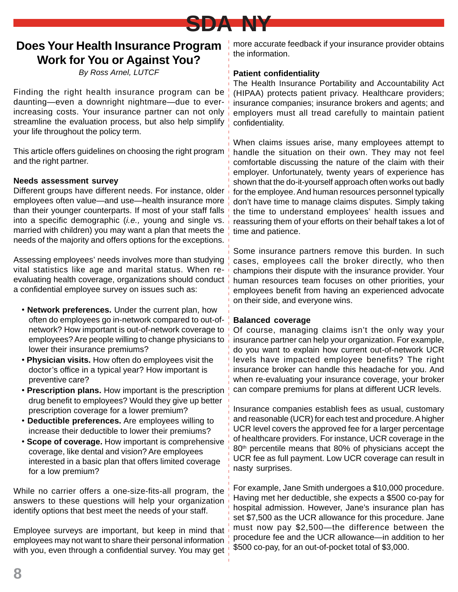

# **Does Your Health Insurance Program Work for You or Against You?**

By Ross Arnel, LUTCF

Finding the right health insurance program can be daunting—even a downright nightmare—due to everincreasing costs. Your insurance partner can not only streamline the evaluation process, but also help simplify your life throughout the policy term.

This article offers guidelines on choosing the right program and the right partner.

### **Needs assessment survey**

Different groups have different needs. For instance, older employees often value—and use—health insurance more than their younger counterparts. If most of your staff falls into a specific demographic *(i.e., young and single vs.* married with children) you may want a plan that meets the needs of the majority and offers options for the exceptions.

Assessing employees' needs involves more than studying vital statistics like age and marital status. When reevaluating health coverage, organizations should conduct a confidential employee survey on issues such as:

- **Network preferences.** Under the current plan, how often do employees go in-network compared to out-ofnetwork? How important is out-of-network coverage to employees? Are people willing to change physicians to lower their insurance premiums?
- • **Physician visits.** How often do employees visit the doctor's office in a typical year? How important is preventive care?
- **Prescription plans.** How important is the prescription drug benefit to employees? Would they give up better prescription coverage for a lower premium?
- **Deductible preferences.** Are employees willing to increase their deductible to lower their premiums?
- **Scope of coverage.** How important is comprehensive coverage, like dental and vision? Are employees interested in a basic plan that offers limited coverage for a low premium?

While no carrier offers a one-size-fits-all program, the answers to these questions will help your organization identify options that best meet the needs of your staff.

Employee surveys are important, but keep in mind that employees may not want to share their personal information with you, even through a confidential survey. You may get more accurate feedback if your insurance provider obtains the information.

## **Patient confidentiality**

The Health Insurance Portability and Accountability Act (HIPAA) protects patient privacy. Healthcare providers; insurance companies; insurance brokers and agents; and employers must all tread carefully to maintain patient confidentiality.

When claims issues arise, many employees attempt to handle the situation on their own. They may not feel comfortable discussing the nature of the claim with their employer. Unfortunately, twenty years of experience has shown that the do-it-yourself approach often works out badly for the employee. And human resources personnel typically don't have time to manage claims disputes. Simply taking the time to understand employees' health issues and reassuring them of your efforts on their behalf takes a lot of time and patience.

Some insurance partners remove this burden. In such cases, employees call the broker directly, who then champions their dispute with the insurance provider. Your human resources team focuses on other priorities, your employees benefit from having an experienced advocate on their side, and everyone wins.

#### **Balanced coverage**

Of course, managing claims isn't the only way your insurance partner can help your organization. For example, do you want to explain how current out-of-network UCR levels have impacted employee benefits? The right insurance broker can handle this headache for you. And when re-evaluating your insurance coverage, your broker can compare premiums for plans at different UCR levels.

Insurance companies establish fees as usual, customary and reasonable (UCR) for each test and procedure. A higher UCR level covers the approved fee for a larger percentage of healthcare providers. For instance, UCR coverage in the 80<sup>th</sup> percentile means that 80% of physicians accept the UCR fee as full payment. Low UCR coverage can result in nasty surprises.

For example, Jane Smith undergoes a \$10,000 procedure. Having met her deductible, she expects a \$500 co-pay for hospital admission. However, Jane's insurance plan has set \$7,500 as the UCR allowance for this procedure. Jane must now pay \$2,500—the difference between the procedure fee and the UCR allowance—in addition to her \$500 co-pay, for an out-of-pocket total of \$3,000.